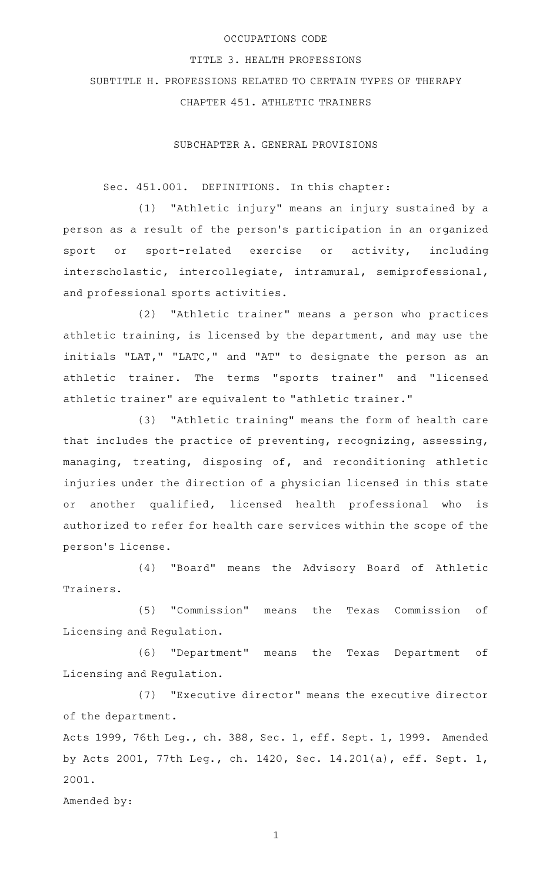### OCCUPATIONS CODE

#### TITLE 3. HEALTH PROFESSIONS

# SUBTITLE H. PROFESSIONS RELATED TO CERTAIN TYPES OF THERAPY

CHAPTER 451. ATHLETIC TRAINERS

SUBCHAPTER A. GENERAL PROVISIONS

## Sec. 451.001. DEFINITIONS. In this chapter:

 $(1)$  "Athletic injury" means an injury sustained by a person as a result of the person 's participation in an organized sport or sport-related exercise or activity, including interscholastic, intercollegiate, intramural, semiprofessional, and professional sports activities.

(2) "Athletic trainer" means a person who practices athletic training, is licensed by the department, and may use the initials "LAT," "LATC," and "AT" to designate the person as an athletic trainer. The terms "sports trainer" and "licensed athletic trainer" are equivalent to "athletic trainer."

(3) "Athletic training" means the form of health care that includes the practice of preventing, recognizing, assessing, managing, treating, disposing of, and reconditioning athletic injuries under the direction of a physician licensed in this state or another qualified, licensed health professional who is authorized to refer for health care services within the scope of the person 's license.

(4) "Board" means the Advisory Board of Athletic Trainers.

(5) "Commission" means the Texas Commission of Licensing and Regulation.

(6) "Department" means the Texas Department of Licensing and Regulation.

(7) "Executive director" means the executive director of the department.

Acts 1999, 76th Leg., ch. 388, Sec. 1, eff. Sept. 1, 1999. Amended by Acts 2001, 77th Leg., ch. 1420, Sec. 14.201(a), eff. Sept. 1, 2001.

Amended by: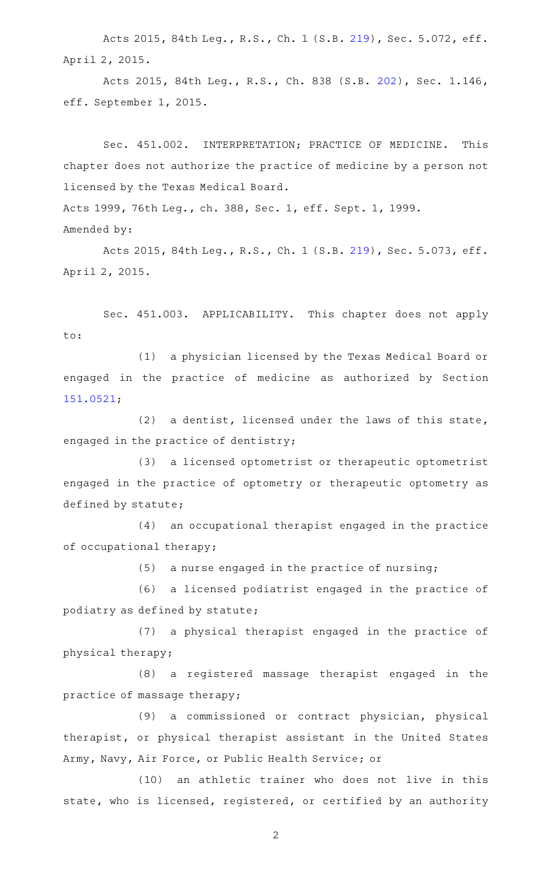Acts 2015, 84th Leg., R.S., Ch. 1 (S.B. [219](http://www.legis.state.tx.us/tlodocs/84R/billtext/html/SB00219F.HTM)), Sec. 5.072, eff. April 2, 2015.

Acts 2015, 84th Leg., R.S., Ch. 838 (S.B. [202](http://www.legis.state.tx.us/tlodocs/84R/billtext/html/SB00202F.HTM)), Sec. 1.146, eff. September 1, 2015.

Sec. 451.002. INTERPRETATION; PRACTICE OF MEDICINE. This chapter does not authorize the practice of medicine by a person not licensed by the Texas Medical Board.

Acts 1999, 76th Leg., ch. 388, Sec. 1, eff. Sept. 1, 1999.

Amended by:

Acts 2015, 84th Leg., R.S., Ch. 1 (S.B. [219](http://www.legis.state.tx.us/tlodocs/84R/billtext/html/SB00219F.HTM)), Sec. 5.073, eff. April 2, 2015.

Sec. 451.003. APPLICABILITY. This chapter does not apply to:

(1) a physician licensed by the Texas Medical Board or engaged in the practice of medicine as authorized by Section [151.0521](http://www.statutes.legis.state.tx.us/GetStatute.aspx?Code=OC&Value=151.0521);

 $(2)$  a dentist, licensed under the laws of this state, engaged in the practice of dentistry;

(3) a licensed optometrist or therapeutic optometrist engaged in the practice of optometry or therapeutic optometry as defined by statute;

(4) an occupational therapist engaged in the practice of occupational therapy;

 $(5)$  a nurse engaged in the practice of nursing;

(6) a licensed podiatrist engaged in the practice of podiatry as defined by statute;

(7) a physical therapist engaged in the practice of physical therapy;

(8) a registered massage therapist engaged in the practice of massage therapy;

 $(9)$  a commissioned or contract physician, physical therapist, or physical therapist assistant in the United States Army, Navy, Air Force, or Public Health Service; or

(10) an athletic trainer who does not live in this state, who is licensed, registered, or certified by an authority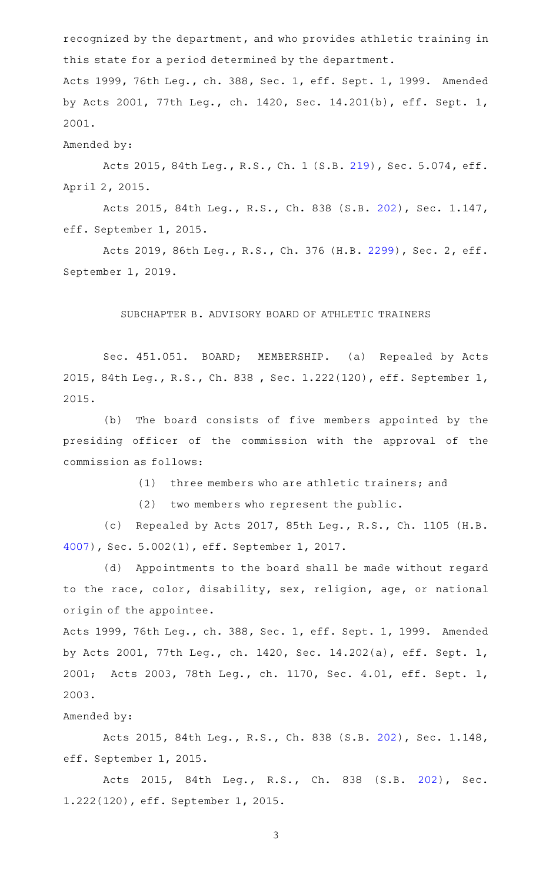recognized by the department, and who provides athletic training in this state for a period determined by the department. Acts 1999, 76th Leg., ch. 388, Sec. 1, eff. Sept. 1, 1999. Amended by Acts 2001, 77th Leg., ch. 1420, Sec. 14.201(b), eff. Sept. 1, 2001.

## Amended by:

Acts 2015, 84th Leg., R.S., Ch. 1 (S.B. [219](http://www.legis.state.tx.us/tlodocs/84R/billtext/html/SB00219F.HTM)), Sec. 5.074, eff. April 2, 2015.

Acts 2015, 84th Leg., R.S., Ch. 838 (S.B. [202](http://www.legis.state.tx.us/tlodocs/84R/billtext/html/SB00202F.HTM)), Sec. 1.147, eff. September 1, 2015.

Acts 2019, 86th Leg., R.S., Ch. 376 (H.B. [2299](http://www.legis.state.tx.us/tlodocs/86R/billtext/html/HB02299F.HTM)), Sec. 2, eff. September 1, 2019.

#### SUBCHAPTER B. ADVISORY BOARD OF ATHLETIC TRAINERS

Sec. 451.051. BOARD; MEMBERSHIP. (a) Repealed by Acts 2015, 84th Leg., R.S., Ch. 838 , Sec. 1.222(120), eff. September 1, 2015.

(b) The board consists of five members appointed by the presiding officer of the commission with the approval of the commission as follows:

(1) three members who are athletic trainers; and

(2) two members who represent the public.

(c) Repealed by Acts 2017, 85th Leg., R.S., Ch. 1105 (H.B. [4007](http://www.legis.state.tx.us/tlodocs/85R/billtext/html/HB04007F.HTM)), Sec. 5.002(1), eff. September 1, 2017.

(d) Appointments to the board shall be made without regard to the race, color, disability, sex, religion, age, or national origin of the appointee.

Acts 1999, 76th Leg., ch. 388, Sec. 1, eff. Sept. 1, 1999. Amended by Acts 2001, 77th Leg., ch. 1420, Sec. 14.202(a), eff. Sept. 1, 2001; Acts 2003, 78th Leg., ch. 1170, Sec. 4.01, eff. Sept. 1, 2003.

## Amended by:

Acts 2015, 84th Leg., R.S., Ch. 838 (S.B. [202](http://www.legis.state.tx.us/tlodocs/84R/billtext/html/SB00202F.HTM)), Sec. 1.148, eff. September 1, 2015.

Acts 2015, 84th Leg., R.S., Ch. 838 (S.B. [202\)](http://www.legis.state.tx.us/tlodocs/84R/billtext/html/SB00202F.HTM), Sec. 1.222(120), eff. September 1, 2015.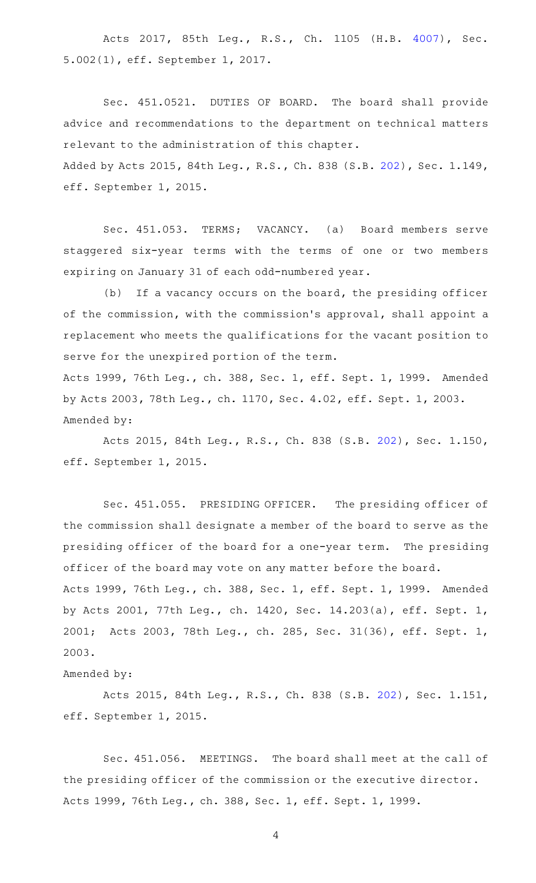Acts 2017, 85th Leg., R.S., Ch. 1105 (H.B. [4007\)](http://www.legis.state.tx.us/tlodocs/85R/billtext/html/HB04007F.HTM), Sec. 5.002(1), eff. September 1, 2017.

Sec. 451.0521. DUTIES OF BOARD. The board shall provide advice and recommendations to the department on technical matters relevant to the administration of this chapter. Added by Acts 2015, 84th Leg., R.S., Ch. 838 (S.B. [202\)](http://www.legis.state.tx.us/tlodocs/84R/billtext/html/SB00202F.HTM), Sec. 1.149, eff. September 1, 2015.

Sec. 451.053. TERMS; VACANCY. (a) Board members serve staggered six-year terms with the terms of one or two members expiring on January 31 of each odd-numbered year.

(b) If a vacancy occurs on the board, the presiding officer of the commission, with the commission 's approval, shall appoint a replacement who meets the qualifications for the vacant position to serve for the unexpired portion of the term. Acts 1999, 76th Leg., ch. 388, Sec. 1, eff. Sept. 1, 1999. Amended by Acts 2003, 78th Leg., ch. 1170, Sec. 4.02, eff. Sept. 1, 2003.

Amended by:

Acts 2015, 84th Leg., R.S., Ch. 838 (S.B. [202](http://www.legis.state.tx.us/tlodocs/84R/billtext/html/SB00202F.HTM)), Sec. 1.150, eff. September 1, 2015.

Sec. 451.055. PRESIDING OFFICER. The presiding officer of the commission shall designate a member of the board to serve as the presiding officer of the board for a one-year term. The presiding officer of the board may vote on any matter before the board. Acts 1999, 76th Leg., ch. 388, Sec. 1, eff. Sept. 1, 1999. Amended by Acts 2001, 77th Leg., ch. 1420, Sec. 14.203(a), eff. Sept. 1, 2001; Acts 2003, 78th Leg., ch. 285, Sec. 31(36), eff. Sept. 1, 2003.

Amended by:

Acts 2015, 84th Leg., R.S., Ch. 838 (S.B. [202](http://www.legis.state.tx.us/tlodocs/84R/billtext/html/SB00202F.HTM)), Sec. 1.151, eff. September 1, 2015.

Sec. 451.056. MEETINGS. The board shall meet at the call of the presiding officer of the commission or the executive director. Acts 1999, 76th Leg., ch. 388, Sec. 1, eff. Sept. 1, 1999.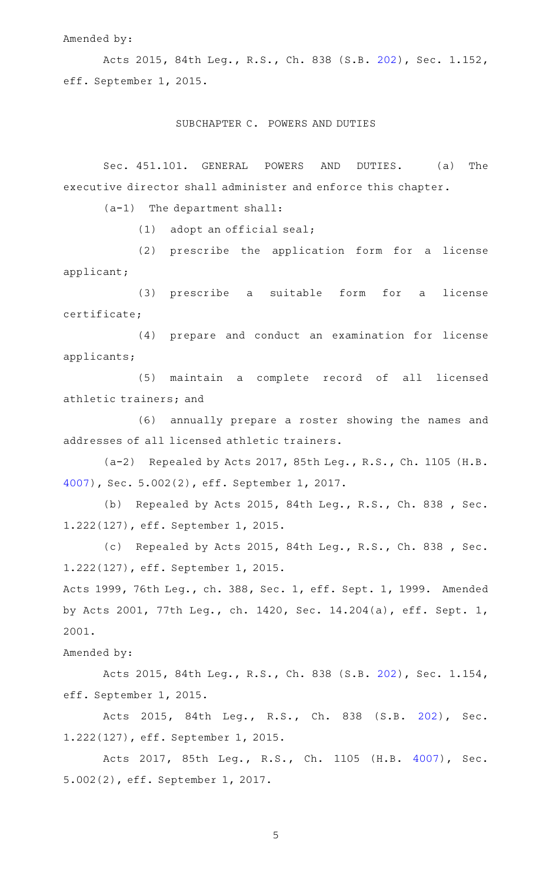#### Amended by:

Acts 2015, 84th Leg., R.S., Ch. 838 (S.B. [202](http://www.legis.state.tx.us/tlodocs/84R/billtext/html/SB00202F.HTM)), Sec. 1.152, eff. September 1, 2015.

#### SUBCHAPTER C. POWERS AND DUTIES

Sec. 451.101. GENERAL POWERS AND DUTIES. (a) The executive director shall administer and enforce this chapter.

 $(a-1)$  The department shall:

 $(1)$  adopt an official seal;

(2) prescribe the application form for a license applicant;

(3) prescribe a suitable form for a license certificate;

(4) prepare and conduct an examination for license applicants;

(5) maintain a complete record of all licensed athletic trainers; and

(6) annually prepare a roster showing the names and addresses of all licensed athletic trainers.

(a-2) Repealed by Acts 2017, 85th Leg., R.S., Ch. 1105 (H.B. [4007](http://www.legis.state.tx.us/tlodocs/85R/billtext/html/HB04007F.HTM)), Sec. 5.002(2), eff. September 1, 2017.

(b) Repealed by Acts 2015, 84th Leg., R.S., Ch. 838 , Sec. 1.222(127), eff. September 1, 2015.

(c) Repealed by Acts 2015, 84th Leg., R.S., Ch. 838, Sec. 1.222(127), eff. September 1, 2015.

Acts 1999, 76th Leg., ch. 388, Sec. 1, eff. Sept. 1, 1999. Amended by Acts 2001, 77th Leg., ch. 1420, Sec. 14.204(a), eff. Sept. 1, 2001.

## Amended by:

Acts 2015, 84th Leg., R.S., Ch. 838 (S.B. [202](http://www.legis.state.tx.us/tlodocs/84R/billtext/html/SB00202F.HTM)), Sec. 1.154, eff. September 1, 2015.

Acts 2015, 84th Leg., R.S., Ch. 838 (S.B. [202\)](http://www.legis.state.tx.us/tlodocs/84R/billtext/html/SB00202F.HTM), Sec. 1.222(127), eff. September 1, 2015.

Acts 2017, 85th Leg., R.S., Ch. 1105 (H.B. [4007\)](http://www.legis.state.tx.us/tlodocs/85R/billtext/html/HB04007F.HTM), Sec. 5.002(2), eff. September 1, 2017.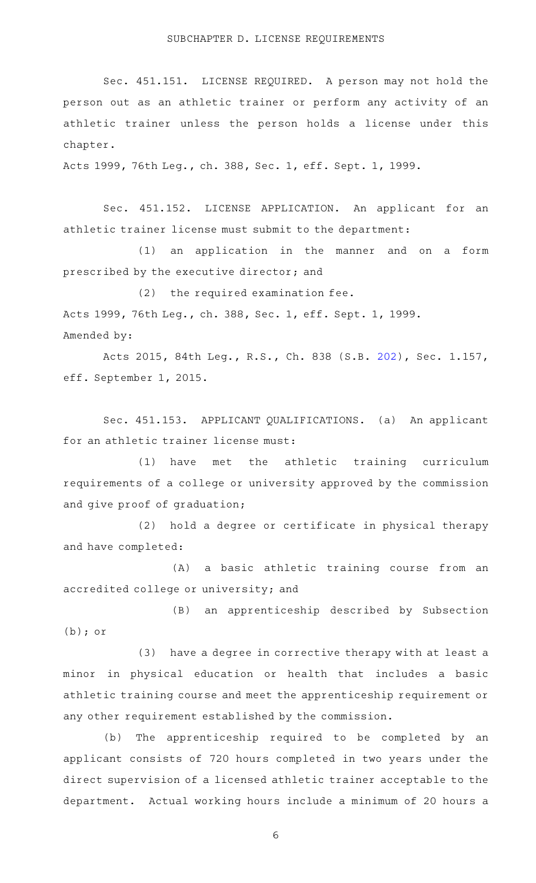Sec. 451.151. LICENSE REQUIRED. A person may not hold the person out as an athletic trainer or perform any activity of an athletic trainer unless the person holds a license under this chapter.

Acts 1999, 76th Leg., ch. 388, Sec. 1, eff. Sept. 1, 1999.

Sec. 451.152. LICENSE APPLICATION. An applicant for an athletic trainer license must submit to the department:

(1) an application in the manner and on a form prescribed by the executive director; and

 $(2)$  the required examination fee. Acts 1999, 76th Leg., ch. 388, Sec. 1, eff. Sept. 1, 1999. Amended by:

Acts 2015, 84th Leg., R.S., Ch. 838 (S.B. [202](http://www.legis.state.tx.us/tlodocs/84R/billtext/html/SB00202F.HTM)), Sec. 1.157, eff. September 1, 2015.

Sec. 451.153. APPLICANT QUALIFICATIONS. (a) An applicant for an athletic trainer license must:

(1) have met the athletic training curriculum requirements of a college or university approved by the commission and give proof of graduation;

(2) hold a degree or certificate in physical therapy and have completed:

(A) a basic athletic training course from an accredited college or university; and

(B) an apprenticeship described by Subsection (b); or

(3) have a degree in corrective therapy with at least a minor in physical education or health that includes a basic athletic training course and meet the apprenticeship requirement or any other requirement established by the commission.

(b) The apprenticeship required to be completed by an applicant consists of 720 hours completed in two years under the direct supervision of a licensed athletic trainer acceptable to the department. Actual working hours include a minimum of 20 hours a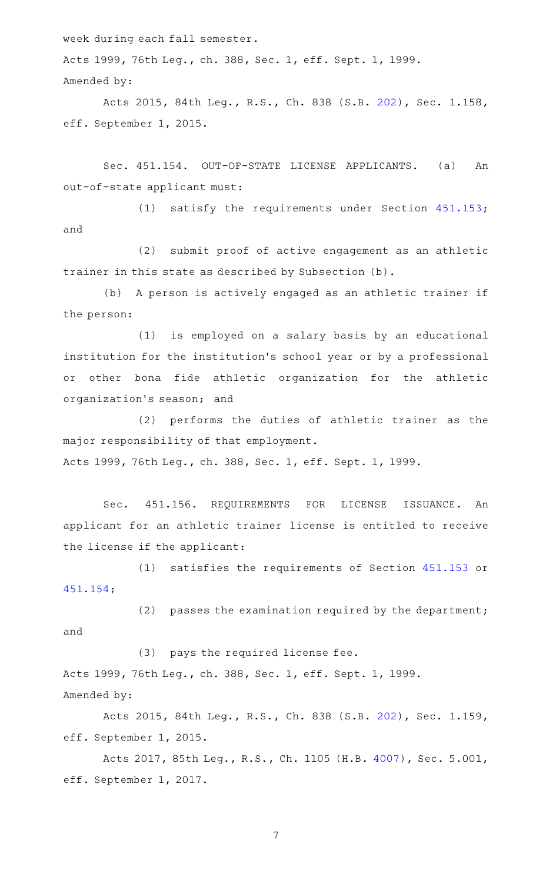week during each fall semester.

Acts 1999, 76th Leg., ch. 388, Sec. 1, eff. Sept. 1, 1999. Amended by:

Acts 2015, 84th Leg., R.S., Ch. 838 (S.B. [202](http://www.legis.state.tx.us/tlodocs/84R/billtext/html/SB00202F.HTM)), Sec. 1.158, eff. September 1, 2015.

Sec. 451.154. OUT-OF-STATE LICENSE APPLICANTS. (a) An out-of-state applicant must:

(1) satisfy the requirements under Section  $451.153$ ; and

(2) submit proof of active engagement as an athletic trainer in this state as described by Subsection (b).

(b) A person is actively engaged as an athletic trainer if the person:

(1) is employed on a salary basis by an educational institution for the institution 's school year or by a professional or other bona fide athletic organization for the athletic organization 's season; and

(2) performs the duties of athletic trainer as the major responsibility of that employment. Acts 1999, 76th Leg., ch. 388, Sec. 1, eff. Sept. 1, 1999.

Sec. 451.156. REQUIREMENTS FOR LICENSE ISSUANCE. An applicant for an athletic trainer license is entitled to receive the license if the applicant:

(1) satisfies the requirements of Section [451.153](http://www.statutes.legis.state.tx.us/GetStatute.aspx?Code=OC&Value=451.153) or [451.154;](http://www.statutes.legis.state.tx.us/GetStatute.aspx?Code=OC&Value=451.154)

(2) passes the examination required by the department; and

(3) pays the required license fee. Acts 1999, 76th Leg., ch. 388, Sec. 1, eff. Sept. 1, 1999. Amended by:

Acts 2015, 84th Leg., R.S., Ch. 838 (S.B. [202](http://www.legis.state.tx.us/tlodocs/84R/billtext/html/SB00202F.HTM)), Sec. 1.159, eff. September 1, 2015.

Acts 2017, 85th Leg., R.S., Ch. 1105 (H.B. [4007](http://www.legis.state.tx.us/tlodocs/85R/billtext/html/HB04007F.HTM)), Sec. 5.001, eff. September 1, 2017.